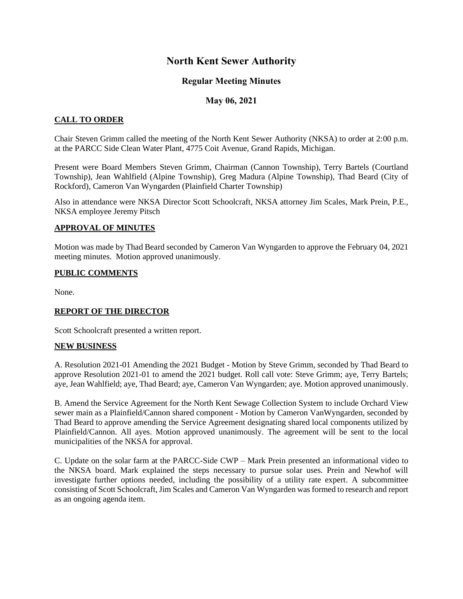# **North Kent Sewer Authority**

# **Regular Meeting Minutes**

## **May 06, 2021**

## **CALL TO ORDER**

Chair Steven Grimm called the meeting of the North Kent Sewer Authority (NKSA) to order at 2:00 p.m. at the PARCC Side Clean Water Plant, 4775 Coit Avenue, Grand Rapids, Michigan.

Present were Board Members Steven Grimm, Chairman (Cannon Township), Terry Bartels (Courtland Township), Jean Wahlfield (Alpine Township), Greg Madura (Alpine Township), Thad Beard (City of Rockford), Cameron Van Wyngarden (Plainfield Charter Township)

Also in attendance were NKSA Director Scott Schoolcraft, NKSA attorney Jim Scales, Mark Prein, P.E., NKSA employee Jeremy Pitsch

### **APPROVAL OF MINUTES**

Motion was made by Thad Beard seconded by Cameron Van Wyngarden to approve the February 04, 2021 meeting minutes. Motion approved unanimously.

#### **PUBLIC COMMENTS**

None.

### **REPORT OF THE DIRECTOR**

Scott Schoolcraft presented a written report.

#### **NEW BUSINESS**

A. Resolution 2021-01 Amending the 2021 Budget - Motion by Steve Grimm, seconded by Thad Beard to approve Resolution 2021-01 to amend the 2021 budget. Roll call vote: Steve Grimm; aye, Terry Bartels; aye, Jean Wahlfield; aye, Thad Beard; aye, Cameron Van Wyngarden; aye. Motion approved unanimously.

B. Amend the Service Agreement for the North Kent Sewage Collection System to include Orchard View sewer main as a Plainfield/Cannon shared component - Motion by Cameron VanWyngarden, seconded by Thad Beard to approve amending the Service Agreement designating shared local components utilized by Plainfield/Cannon. All ayes. Motion approved unanimously. The agreement will be sent to the local municipalities of the NKSA for approval.

C. Update on the solar farm at the PARCC-Side CWP – Mark Prein presented an informational video to the NKSA board. Mark explained the steps necessary to pursue solar uses. Prein and Newhof will investigate further options needed, including the possibility of a utility rate expert. A subcommittee consisting of Scott Schoolcraft, Jim Scales and Cameron Van Wyngarden was formed to research and report as an ongoing agenda item.